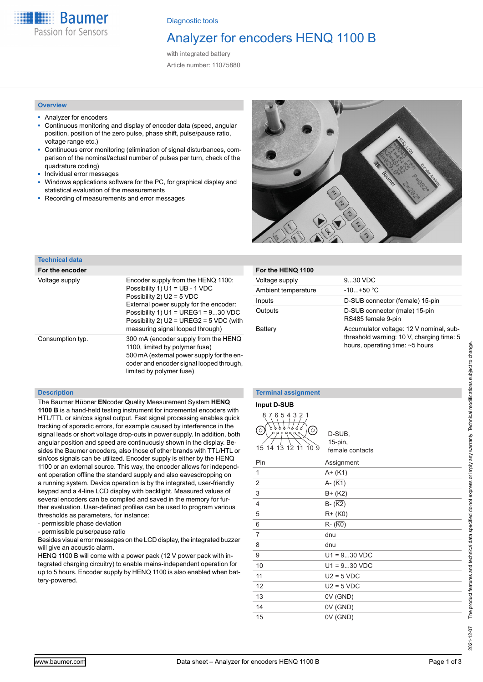**Baumer** Passion for Sensors

Diagnostic tools

# Analyzer for encoders HENQ 1100 B

with integrated battery Article number: 11075880

#### **Overview**

- Analyzer for encoders
- Continuous monitoring and display of encoder data (speed, angular position, position of the zero pulse, phase shift, pulse/pause ratio, voltage range etc.)
- Continuous error monitoring (elimination of signal disturbances, comparison of the nominal/actual number of pulses per turn, check of the quadrature coding)
- Individual error messages
- Windows applications software for the PC, for graphical display and statistical evaluation of the measurements
- Recording of measurements and error messages



### **Technical data**

| For the encoder  |                                                                                                                                                                                                                                                                         |
|------------------|-------------------------------------------------------------------------------------------------------------------------------------------------------------------------------------------------------------------------------------------------------------------------|
| Voltage supply   | Encoder supply from the HENQ 1100:<br>Possibility 1) U1 = UB - 1 VDC<br>Possibility 2) $U2 = 5$ VDC<br>External power supply for the encoder:<br>Possibility 1) $U1 = UREG1 = 930 VDC$<br>Possibility 2) $U2 = UREG2 = 5 VDC$ (with<br>measuring signal looped through) |
| Consumption typ. | 300 mA (encoder supply from the HENQ<br>1100, limited by polymer fuse)<br>500 mA (external power supply for the en-<br>coder and encoder signal looped through,<br>limited by polymer fuse)                                                                             |

#### **Description**

The Baumer **H**übner **EN**coder **Q**uality Measurement System **HENQ 1100 B** is a hand-held testing instrument for incremental encoders with HTL/TTL or sin/cos signal output. Fast signal processing enables quick tracking of sporadic errors, for example caused by interference in the signal leads or short voltage drop-outs in power supply. In addition, both angular position and speed are continuously shown in the display. Besides the Baumer encoders, also those of other brands with TTL/HTL or sin/cos signals can be utilized. Encoder supply is either by the HENQ 1100 or an external source. This way, the encoder allows for independent operation offline the standard supply and also eavesdropping on a running system. Device operation is by the integrated, user-friendly keypad and a 4-line LCD display with backlight. Measured values of several encoders can be compiled and saved in the memory for further evaluation. User-defined profiles can be used to program various thresholds as parameters, for instance:

- permissible phase deviation

- permissible pulse/pause ratio

Besides visual error messages on the LCD display, the integrated buzzer will give an acoustic alarm.

HENQ 1100 B will come with a power pack (12 V power pack with integrated charging circuitry) to enable mains-independent operation for up to 5 hours. Encoder supply by HENQ 1100 is also enabled when battery-powered.

**For the HENQ 1100**

Voltage supply 9...30 VDC Ambient temperature -10...+50 °C

#### **Terminal assignment**

#### **Input D-SUB**



D-SUB, 15-pin, female contacts

Inputs D-SUB connector (female) 15-pin Outputs D-SUB connector (male) 15-pin

Battery **Accumulator voltage: 12 V nominal, sub-**

RS485 female 9-pin

threshold warning: 10 V, charging time: 5 hours, operating time: ~5 hours

| Pin            | Assignment            |
|----------------|-----------------------|
| 1              | $A + (K1)$            |
| $\overline{2}$ | A- $(\overline{K1})$  |
| 3              | $B+ (K2)$             |
| $\overline{4}$ | $B - (\overline{K2})$ |
| 5              | $R + (K0)$            |
| 6              | $R - (\overline{K0})$ |
| 7              | dnu                   |
| 8              | dnu                   |
| 9              | $U1 = 930 VDC$        |
| 10             | $U1 = 930 VDC$        |
| 11             | $U2 = 5 VDC$          |
| 12             | $U2 = 5 VDC$          |
| 13             | 0V (GND)              |
| 14             | 0V (GND)              |
| 15             | 0V (GND)              |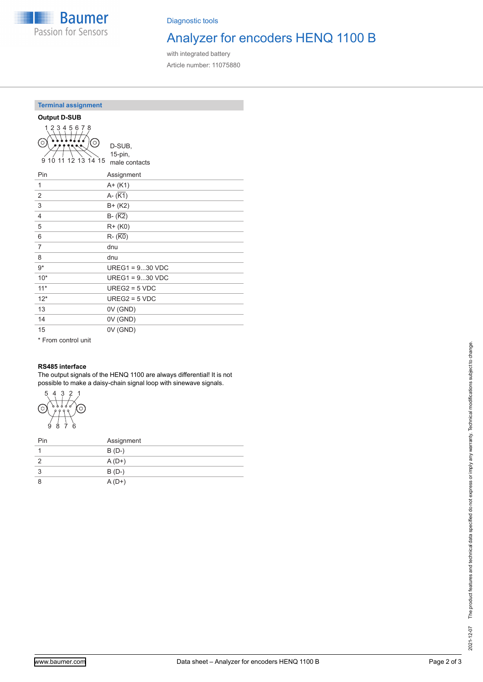

Diagnostic tools

# Analyzer for encoders HENQ 1100 B

with integrated battery Article number: 11075880

### **Terminal assignment**



D-SUB, 15-pin, male contacts

| Pin   | Assignment        |
|-------|-------------------|
| 1     | $A + (K1)$        |
| 2     | $A - (K1)$        |
| 3     | $B + (K2)$        |
| 4     | $B - (K2)$        |
| 5     | $R + (K0)$        |
| 6     | $R - (K0)$        |
| 7     | dnu               |
| 8     | dnu               |
| $9*$  | $UREG1 = 930 VDC$ |
| $10*$ | $UREG1 = 930 VDC$ |
| $11*$ | $UREG2 = 5 VDC$   |
| $12*$ | $UREG2 = 5 VDC$   |
| 13    | 0V (GND)          |
| 14    | 0V (GND)          |
| 15    | 0V (GND)          |
|       |                   |

\* From control unit

## **RS485 interface**

The output signals of the HENQ 1100 are always differential! It is not possible to make a daisy-chain signal loop with sinewave signals.



| Pin | Assignment |
|-----|------------|
|     | $B(D-)$    |
|     | $A(D+)$    |
| 3   | $B(D-)$    |
| 8   | $A(D+)$    |